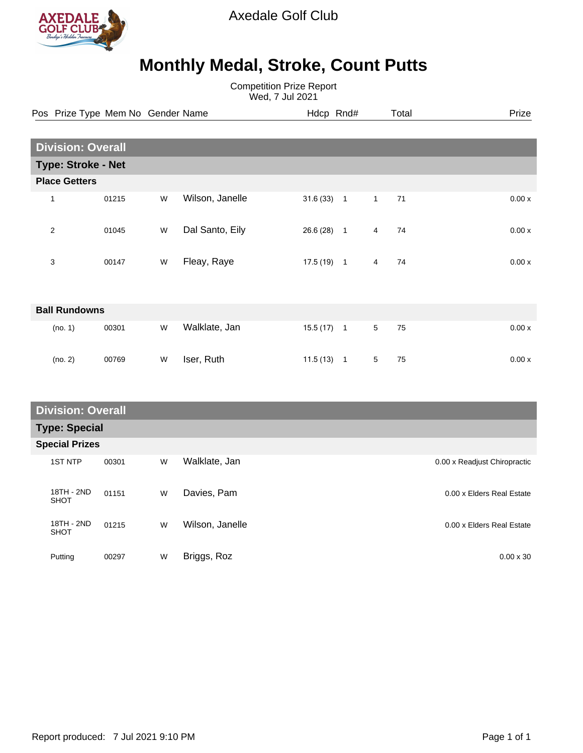

Axedale Golf Club

## **Monthly Medal, Stroke, Count Putts**

Competition Prize Report Wed, 7 Jul 2021

| Pos Prize Type Mem No Gender Name |                          |       |   |                 | Hdcp Rnd# |                |                 | Total | Prize |
|-----------------------------------|--------------------------|-------|---|-----------------|-----------|----------------|-----------------|-------|-------|
|                                   |                          |       |   |                 |           |                |                 |       |       |
|                                   | <b>Division: Overall</b> |       |   |                 |           |                |                 |       |       |
| <b>Type: Stroke - Net</b>         |                          |       |   |                 |           |                |                 |       |       |
|                                   | <b>Place Getters</b>     |       |   |                 |           |                |                 |       |       |
|                                   | $\mathbf{1}$             | 01215 | W | Wilson, Janelle | 31.6(33)  | $\overline{1}$ | $\mathbf{1}$    | 71    | 0.00x |
|                                   | $\overline{2}$           | 01045 | W | Dal Santo, Eily | 26.6(28)  | $\overline{1}$ | 4               | 74    | 0.00x |
|                                   | 3                        | 00147 | W | Fleay, Raye     | 17.5 (19) | $\overline{1}$ | 4               | 74    | 0.00x |
|                                   |                          |       |   |                 |           |                |                 |       |       |
| <b>Ball Rundowns</b>              |                          |       |   |                 |           |                |                 |       |       |
|                                   | (no. 1)                  | 00301 | W | Walklate, Jan   | 15.5(17)  | $\overline{1}$ | $5\overline{)}$ | 75    | 0.00x |
|                                   | (no. 2)                  | 00769 | W | Iser, Ruth      | 11.5(13)  | $\overline{1}$ | 5               | 75    | 0.00x |

| <b>Division: Overall</b>  |       |   |                 |                              |  |  |
|---------------------------|-------|---|-----------------|------------------------------|--|--|
| <b>Type: Special</b>      |       |   |                 |                              |  |  |
| <b>Special Prizes</b>     |       |   |                 |                              |  |  |
| <b>1ST NTP</b>            | 00301 | W | Walklate, Jan   | 0.00 x Readjust Chiropractic |  |  |
| 18TH - 2ND<br><b>SHOT</b> | 01151 | W | Davies, Pam     | 0.00 x Elders Real Estate    |  |  |
| 18TH - 2ND<br><b>SHOT</b> | 01215 | W | Wilson, Janelle | 0.00 x Elders Real Estate    |  |  |
| Putting                   | 00297 | W | Briggs, Roz     | $0.00 \times 30$             |  |  |